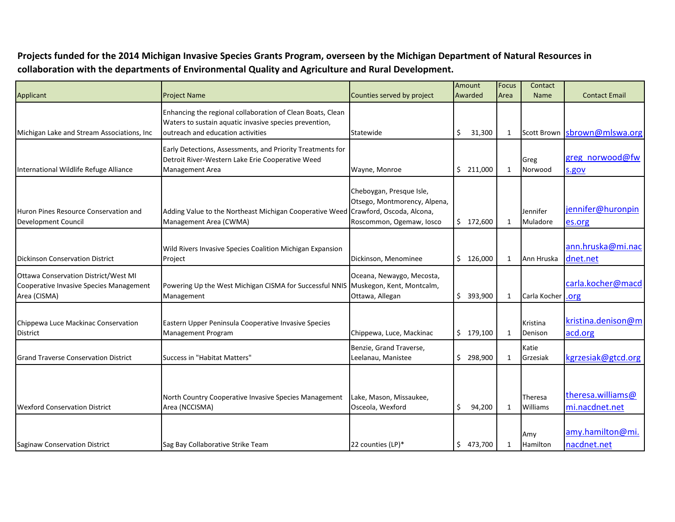**Projects funded for the 2014 Michigan Invasive Species Grants Program, overseen by the Michigan Department of Natural Resources in collaboration with the departments of Environmental Quality and Agriculture and Rural Development.** 

| Applicant                                                                                              | <b>Project Name</b>                                                                                                                                       | Amount<br>Counties served by project<br>Awarded                                      |               | <b>Focus</b><br>Area | Contact<br><b>Name</b> | <b>Contact Email</b>                |
|--------------------------------------------------------------------------------------------------------|-----------------------------------------------------------------------------------------------------------------------------------------------------------|--------------------------------------------------------------------------------------|---------------|----------------------|------------------------|-------------------------------------|
| Michigan Lake and Stream Associations, Inc.                                                            | Enhancing the regional collaboration of Clean Boats, Clean<br>Waters to sustain aquatic invasive species prevention,<br>outreach and education activities | Statewide                                                                            | Ś.<br>31,300  | 1                    |                        | Scott Brown sbrown@mlswa.org        |
| International Wildlife Refuge Alliance                                                                 | Early Detections, Assessments, and Priority Treatments for<br>Detroit River-Western Lake Erie Cooperative Weed<br><b>Management Area</b>                  | Wayne, Monroe                                                                        | \$211,000     | $\mathbf{1}$         | Greg<br>Norwood        | greg norwood@fw<br>s.gov            |
| Huron Pines Resource Conservation and<br><b>Development Council</b>                                    | Adding Value to the Northeast Michigan Cooperative Weed Crawford, Oscoda, Alcona,<br>Management Area (CWMA)                                               | Cheboygan, Presque Isle,<br>Otsego, Montmorency, Alpena,<br>Roscommon, Ogemaw, Iosco | \$172,600     | 1                    | Jennifer<br>Muladore   | jennifer@huronpin<br>es.org         |
| <b>Dickinson Conservation District</b>                                                                 | Wild Rivers Invasive Species Coalition Michigan Expansion<br>Project                                                                                      | Dickinson, Menominee                                                                 | \$126,000     | 1                    | Ann Hruska             | ann.hruska@mi.nac<br>dnet.net       |
| <b>Ottawa Conservation District/West MI</b><br>Cooperative Invasive Species Management<br>Area (CISMA) | Powering Up the West Michigan CISMA for Successful NNIS Muskegon, Kent, Montcalm,<br>Management                                                           | Oceana, Newaygo, Mecosta,<br>Ottawa, Allegan                                         | \$393,900     | 1                    | Carla Kocher           | carla.kocher@macd<br>.org           |
| Chippewa Luce Mackinac Conservation<br>District                                                        | Eastern Upper Peninsula Cooperative Invasive Species<br><b>Management Program</b>                                                                         | Chippewa, Luce, Mackinac                                                             | \$179,100     | 1                    | Kristina<br>Denison    | kristina.denison@m<br>acd.org       |
| <b>Grand Traverse Conservation District</b>                                                            | Success in "Habitat Matters"                                                                                                                              | Benzie, Grand Traverse,<br>Leelanau, Manistee                                        | \$298,900     | 1                    | Katie<br>Grzesiak      | kgrzesiak@gtcd.org                  |
| <b>Wexford Conservation District</b>                                                                   | North Country Cooperative Invasive Species Management<br>Area (NCCISMA)                                                                                   | Lake, Mason, Missaukee,<br>Osceola, Wexford                                          | \$<br>94,200  | 1                    | Theresa<br>Williams    | theresa.williams@<br>mi.nacdnet.net |
| Saginaw Conservation District                                                                          | Sag Bay Collaborative Strike Team                                                                                                                         | 22 counties (LP)*                                                                    | \$<br>473,700 | 1                    | Amy<br>Hamilton        | amy.hamilton@mi.<br>nacdnet.net     |